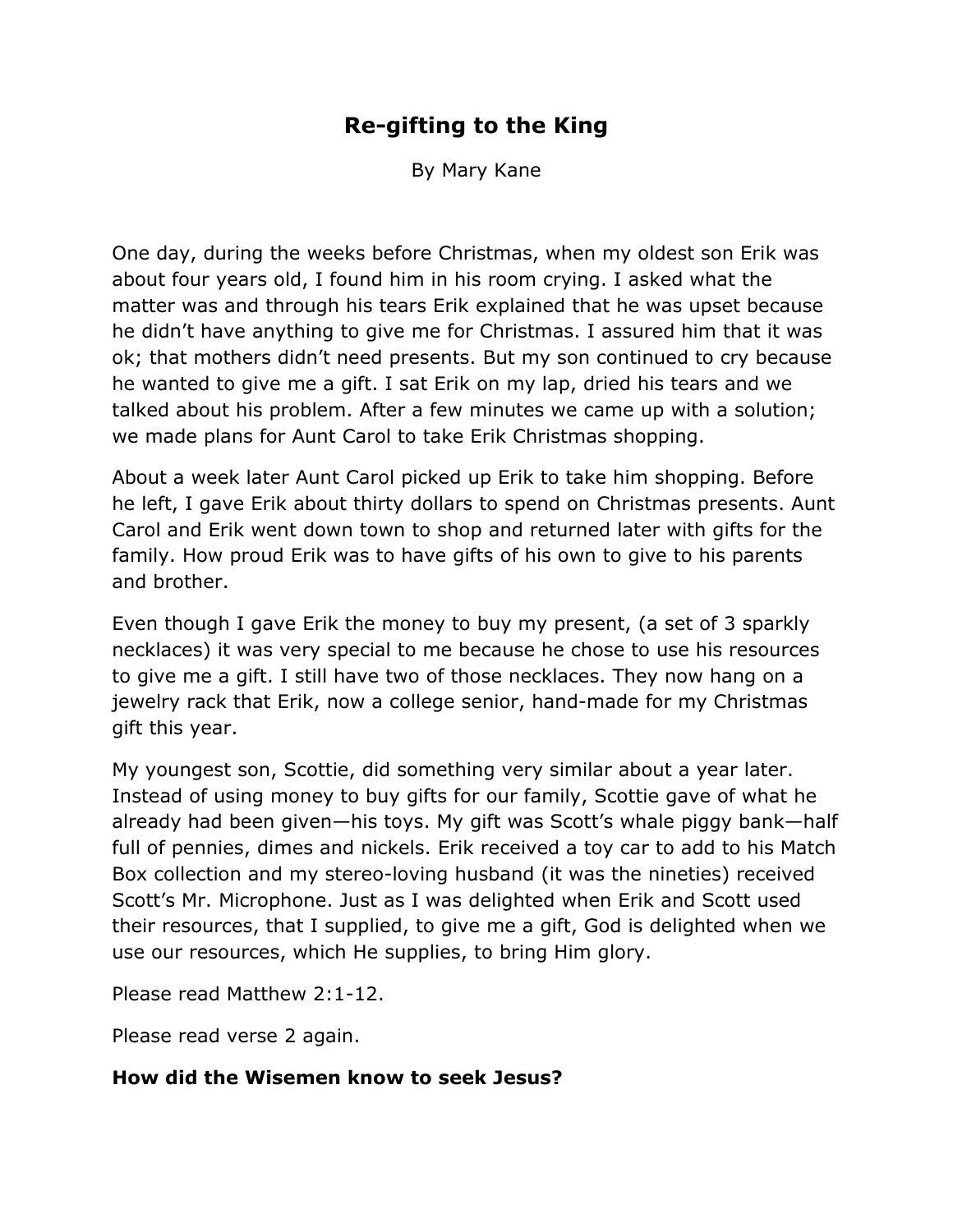# **Re-gifting to the King**

By Mary Kane

One day, during the weeks before Christmas, when my oldest son Erik was about four years old, I found him in his room crying. I asked what the matter was and through his tears Erik explained that he was upset because he didn't have anything to give me for Christmas. I assured him that it was ok; that mothers didn't need presents. But my son continued to cry because he wanted to give me a gift. I sat Erik on my lap, dried his tears and we talked about his problem. After a few minutes we came up with a solution; we made plans for Aunt Carol to take Erik Christmas shopping.

About a week later Aunt Carol picked up Erik to take him shopping. Before he left, I gave Erik about thirty dollars to spend on Christmas presents. Aunt Carol and Erik went down town to shop and returned later with gifts for the family. How proud Erik was to have gifts of his own to give to his parents and brother.

Even though I gave Erik the money to buy my present, (a set of 3 sparkly necklaces) it was very special to me because he chose to use his resources to give me a gift. I still have two of those necklaces. They now hang on a jewelry rack that Erik, now a college senior, hand-made for my Christmas gift this year.

My youngest son, Scottie, did something very similar about a year later. Instead of using money to buy gifts for our family, Scottie gave of what he already had been given—his toys. My gift was Scott's whale piggy bank—half full of pennies, dimes and nickels. Erik received a toy car to add to his Match Box collection and my stereo-loving husband (it was the nineties) received Scott's Mr. Microphone. Just as I was delighted when Erik and Scott used their resources, that I supplied, to give me a gift, God is delighted when we use our resources, which He supplies, to bring Him glory.

Please read Matthew 2:1-12.

Please read verse 2 again.

#### **How did the Wisemen know to seek Jesus?**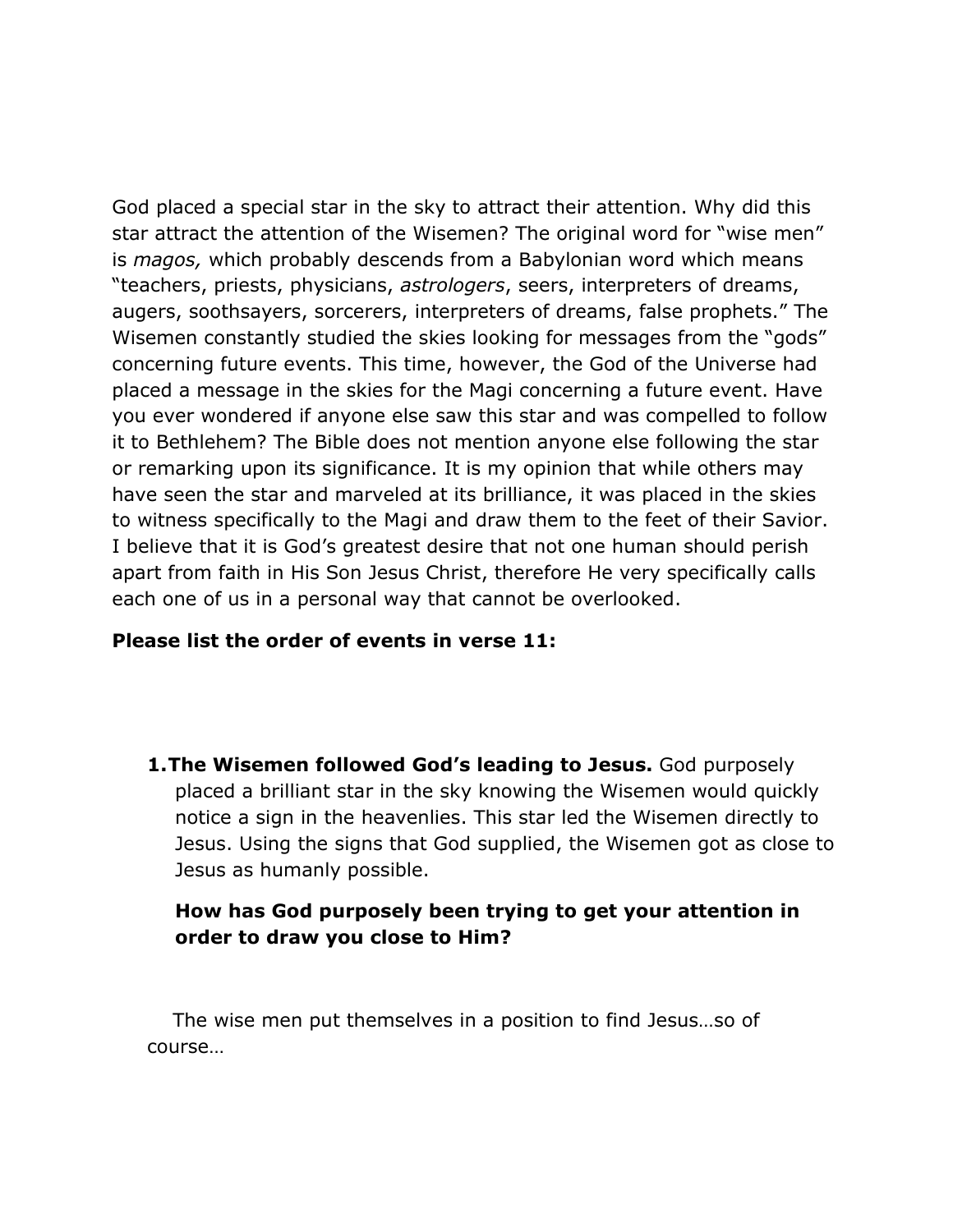God placed a special star in the sky to attract their attention. Why did this star attract the attention of the Wisemen? The original word for "wise men" is *magos,* which probably descends from a Babylonian word which means "teachers, priests, physicians, *astrologers*, seers, interpreters of dreams, augers, soothsayers, sorcerers, interpreters of dreams, false prophets." The Wisemen constantly studied the skies looking for messages from the "gods" concerning future events. This time, however, the God of the Universe had placed a message in the skies for the Magi concerning a future event. Have you ever wondered if anyone else saw this star and was compelled to follow it to Bethlehem? The Bible does not mention anyone else following the star or remarking upon its significance. It is my opinion that while others may have seen the star and marveled at its brilliance, it was placed in the skies to witness specifically to the Magi and draw them to the feet of their Savior. I believe that it is God's greatest desire that not one human should perish apart from faith in His Son Jesus Christ, therefore He very specifically calls each one of us in a personal way that cannot be overlooked.

#### **Please list the order of events in verse 11:**

**1.The Wisemen followed God's leading to Jesus.** God purposely placed a brilliant star in the sky knowing the Wisemen would quickly notice a sign in the heavenlies. This star led the Wisemen directly to Jesus. Using the signs that God supplied, the Wisemen got as close to Jesus as humanly possible.

### **How has God purposely been trying to get your attention in order to draw you close to Him?**

The wise men put themselves in a position to find Jesus…so of course…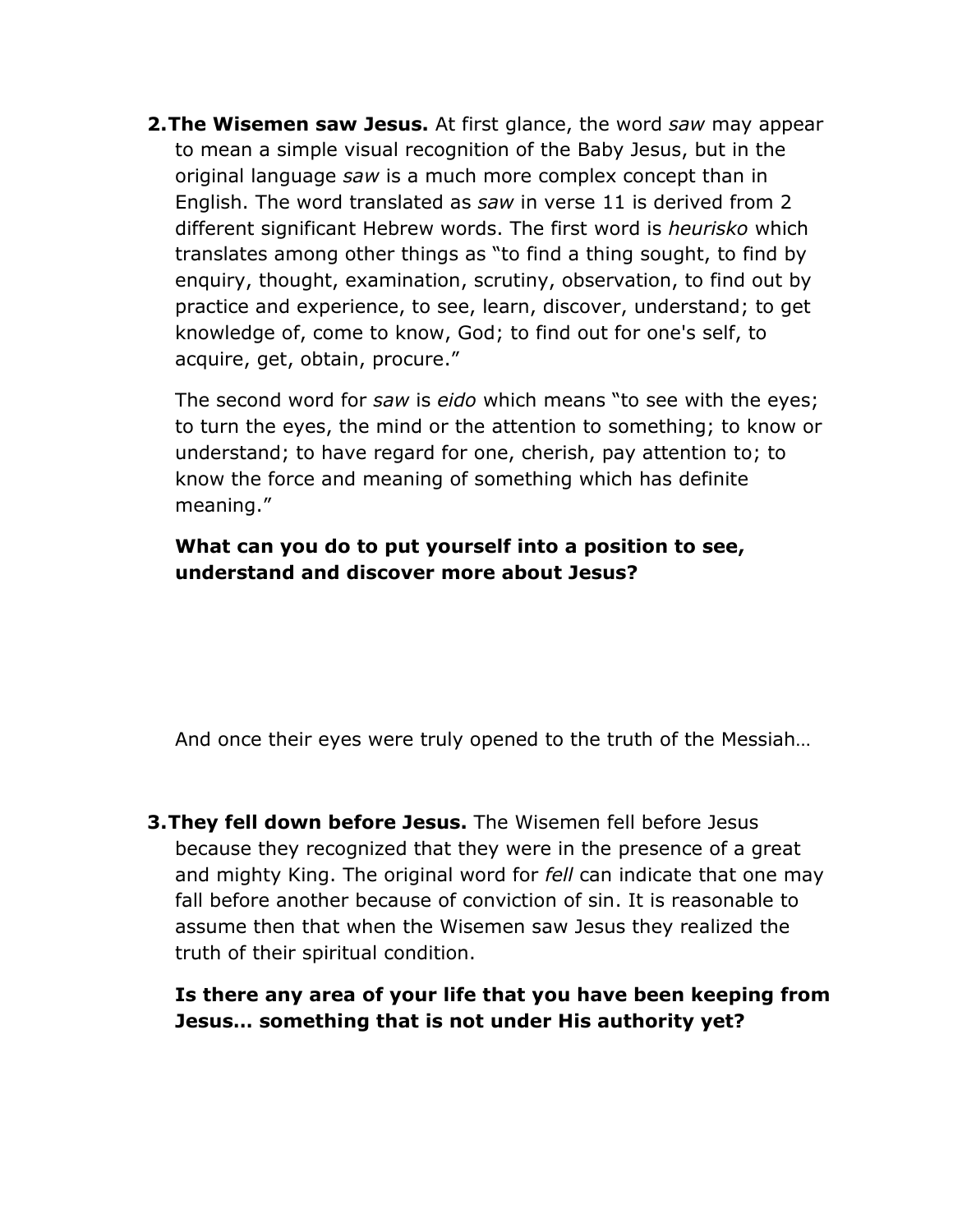**2.The Wisemen saw Jesus.** At first glance, the word *saw* may appear to mean a simple visual recognition of the Baby Jesus, but in the original language *saw* is a much more complex concept than in English. The word translated as *saw* in verse 11 is derived from 2 different significant Hebrew words. The first word is *heurisko* which translates among other things as "to find a thing sought, to find by enquiry, thought, examination, scrutiny, observation, to find out by practice and experience, to see, learn, discover, understand; to get knowledge of, come to know, God; to find out for one's self, to acquire, get, obtain, procure."

The second word for *saw* is *eido* which means "to see with the eyes; to turn the eyes, the mind or the attention to something; to know or understand; to have regard for one, cherish, pay attention to; to know the force and meaning of something which has definite meaning."

## **What can you do to put yourself into a position to see, understand and discover more about Jesus?**

And once their eyes were truly opened to the truth of the Messiah…

**3.They fell down before Jesus.** The Wisemen fell before Jesus because they recognized that they were in the presence of a great and mighty King. The original word for *fell* can indicate that one may fall before another because of conviction of sin. It is reasonable to assume then that when the Wisemen saw Jesus they realized the truth of their spiritual condition.

**Is there any area of your life that you have been keeping from Jesus… something that is not under His authority yet?**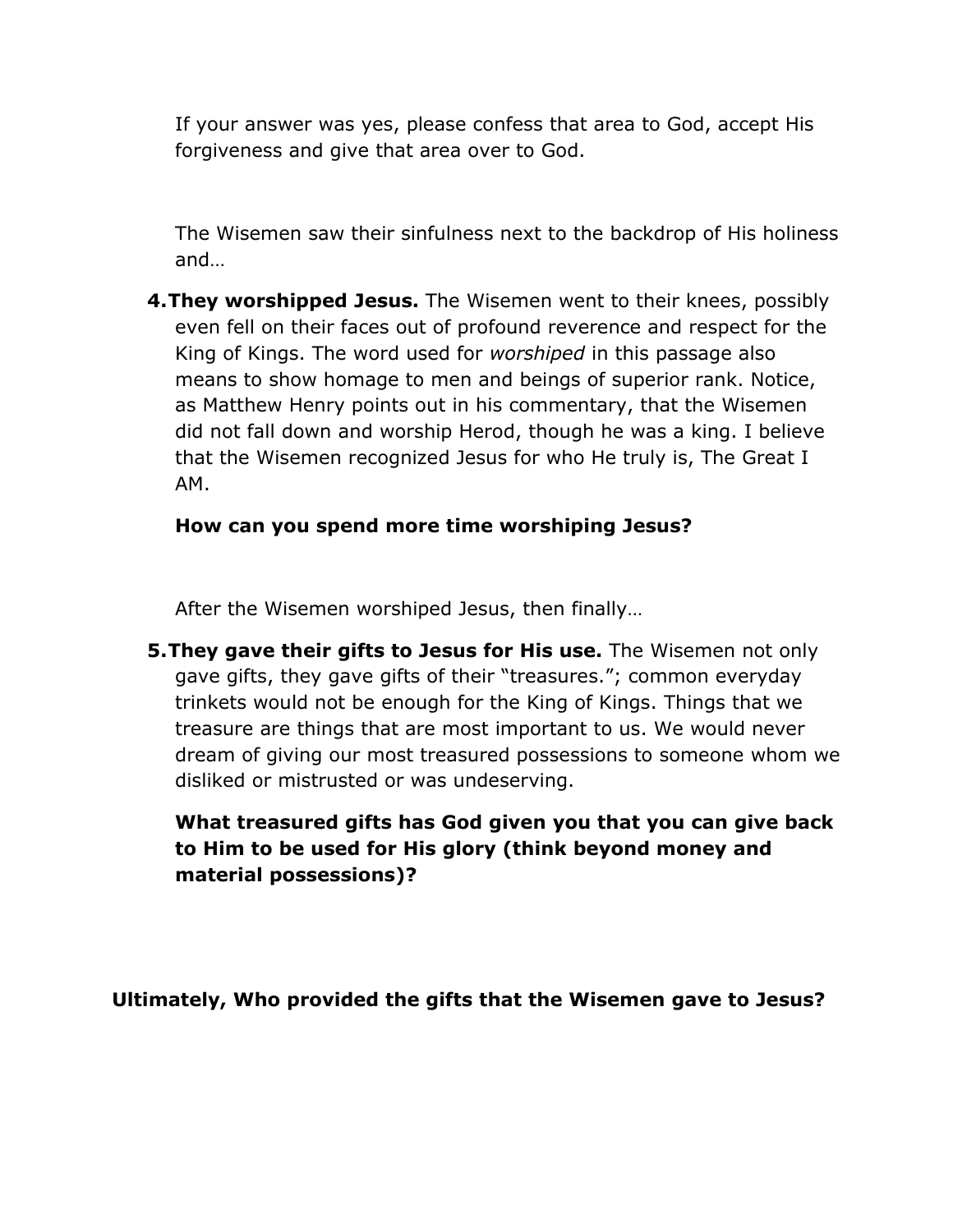If your answer was yes, please confess that area to God, accept His forgiveness and give that area over to God.

The Wisemen saw their sinfulness next to the backdrop of His holiness and…

**4.They worshipped Jesus.** The Wisemen went to their knees, possibly even fell on their faces out of profound reverence and respect for the King of Kings. The word used for *worshiped* in this passage also means to show homage to men and beings of superior rank. Notice, as Matthew Henry points out in his commentary, that the Wisemen did not fall down and worship Herod, though he was a king. I believe that the Wisemen recognized Jesus for who He truly is, The Great I AM.

### **How can you spend more time worshiping Jesus?**

After the Wisemen worshiped Jesus, then finally…

**5.They gave their gifts to Jesus for His use.** The Wisemen not only gave gifts, they gave gifts of their "treasures."; common everyday trinkets would not be enough for the King of Kings. Things that we treasure are things that are most important to us. We would never dream of giving our most treasured possessions to someone whom we disliked or mistrusted or was undeserving.

**What treasured gifts has God given you that you can give back to Him to be used for His glory (think beyond money and material possessions)?**

**Ultimately, Who provided the gifts that the Wisemen gave to Jesus?**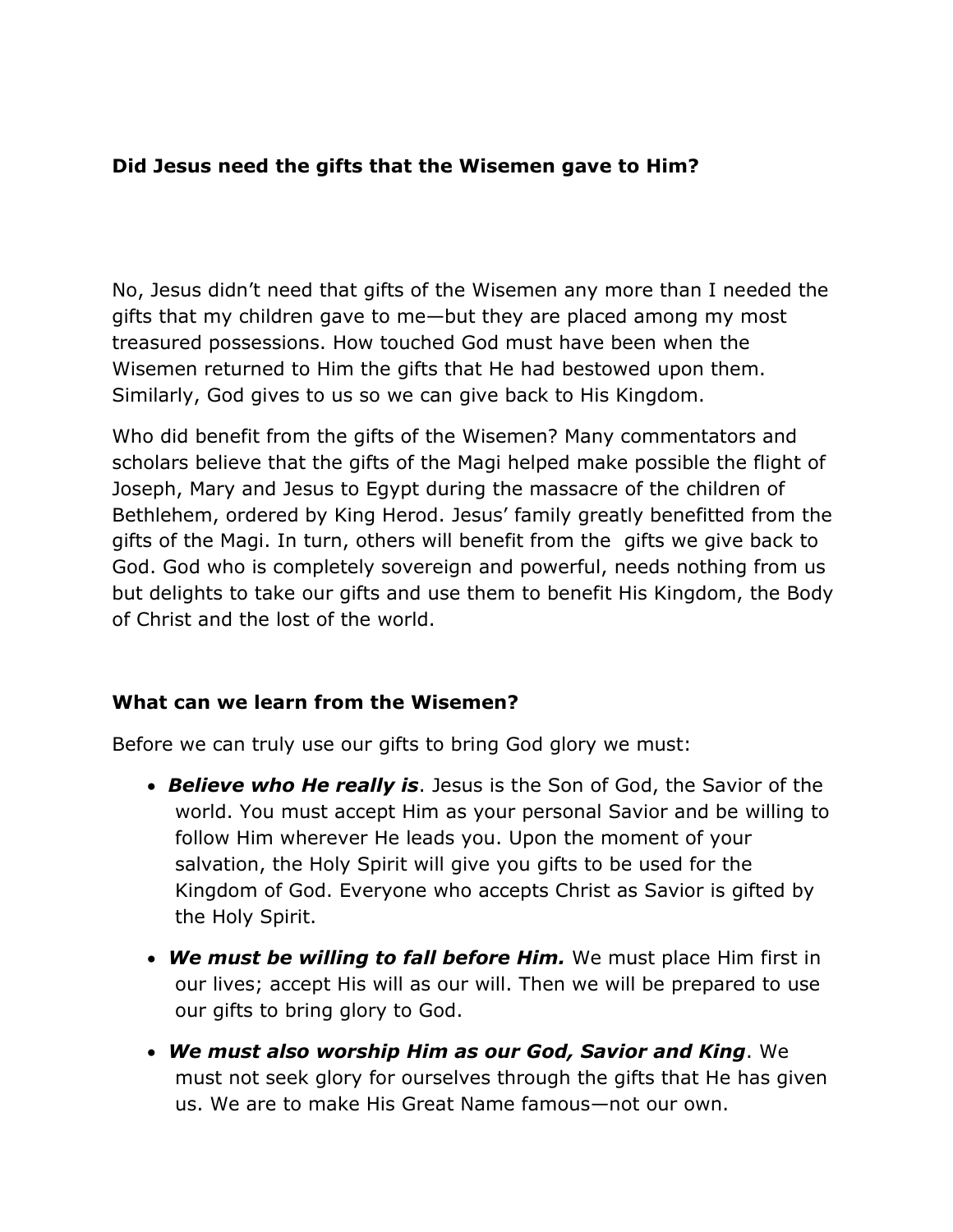### **Did Jesus need the gifts that the Wisemen gave to Him?**

No, Jesus didn't need that gifts of the Wisemen any more than I needed the gifts that my children gave to me—but they are placed among my most treasured possessions. How touched God must have been when the Wisemen returned to Him the gifts that He had bestowed upon them. Similarly, God gives to us so we can give back to His Kingdom.

Who did benefit from the gifts of the Wisemen? Many commentators and scholars believe that the gifts of the Magi helped make possible the flight of Joseph, Mary and Jesus to Egypt during the massacre of the children of Bethlehem, ordered by King Herod. Jesus' family greatly benefitted from the gifts of the Magi. In turn, others will benefit from the gifts we give back to God. God who is completely sovereign and powerful, needs nothing from us but delights to take our gifts and use them to benefit His Kingdom, the Body of Christ and the lost of the world.

#### **What can we learn from the Wisemen?**

Before we can truly use our gifts to bring God glory we must:

- *Believe who He really is*. Jesus is the Son of God, the Savior of the world. You must accept Him as your personal Savior and be willing to follow Him wherever He leads you. Upon the moment of your salvation, the Holy Spirit will give you gifts to be used for the Kingdom of God. Everyone who accepts Christ as Savior is gifted by the Holy Spirit.
- *We must be willing to fall before Him.* We must place Him first in our lives; accept His will as our will. Then we will be prepared to use our gifts to bring glory to God.
- *We must also worship Him as our God, Savior and King*. We must not seek glory for ourselves through the gifts that He has given us. We are to make His Great Name famous—not our own.